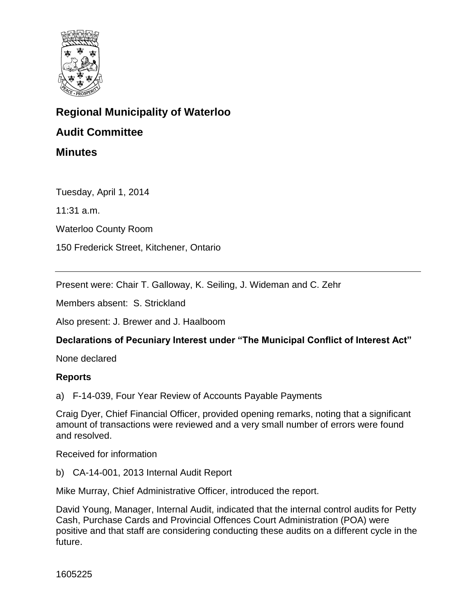

# **Regional Municipality of Waterloo**

## **Audit Committee**

**Minutes**

Tuesday, April 1, 2014

11:31 a.m.

Waterloo County Room

150 Frederick Street, Kitchener, Ontario

Present were: Chair T. Galloway, K. Seiling, J. Wideman and C. Zehr

Members absent: S. Strickland

Also present: J. Brewer and J. Haalboom

### **Declarations of Pecuniary Interest under "The Municipal Conflict of Interest Act"**

None declared

#### **Reports**

a) F-14-039, Four Year Review of Accounts Payable Payments

Craig Dyer, Chief Financial Officer, provided opening remarks, noting that a significant amount of transactions were reviewed and a very small number of errors were found and resolved.

Received for information

b) CA-14-001, 2013 Internal Audit Report

Mike Murray, Chief Administrative Officer, introduced the report.

David Young, Manager, Internal Audit, indicated that the internal control audits for Petty Cash, Purchase Cards and Provincial Offences Court Administration (POA) were positive and that staff are considering conducting these audits on a different cycle in the future.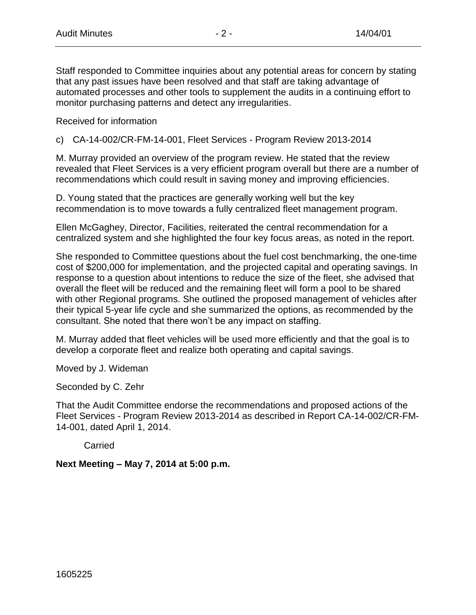Staff responded to Committee inquiries about any potential areas for concern by stating that any past issues have been resolved and that staff are taking advantage of automated processes and other tools to supplement the audits in a continuing effort to monitor purchasing patterns and detect any irregularities.

Received for information

c) CA-14-002/CR-FM-14-001, Fleet Services - Program Review 2013-2014

M. Murray provided an overview of the program review. He stated that the review revealed that Fleet Services is a very efficient program overall but there are a number of recommendations which could result in saving money and improving efficiencies.

D. Young stated that the practices are generally working well but the key recommendation is to move towards a fully centralized fleet management program.

Ellen McGaghey, Director, Facilities, reiterated the central recommendation for a centralized system and she highlighted the four key focus areas, as noted in the report.

She responded to Committee questions about the fuel cost benchmarking, the one-time cost of \$200,000 for implementation, and the projected capital and operating savings. In response to a question about intentions to reduce the size of the fleet, she advised that overall the fleet will be reduced and the remaining fleet will form a pool to be shared with other Regional programs. She outlined the proposed management of vehicles after their typical 5-year life cycle and she summarized the options, as recommended by the consultant. She noted that there won't be any impact on staffing.

M. Murray added that fleet vehicles will be used more efficiently and that the goal is to develop a corporate fleet and realize both operating and capital savings.

Moved by J. Wideman

Seconded by C. Zehr

That the Audit Committee endorse the recommendations and proposed actions of the Fleet Services - Program Review 2013-2014 as described in Report CA-14-002/CR-FM-14-001, dated April 1, 2014.

**Carried** 

**Next Meeting – May 7, 2014 at 5:00 p.m.**